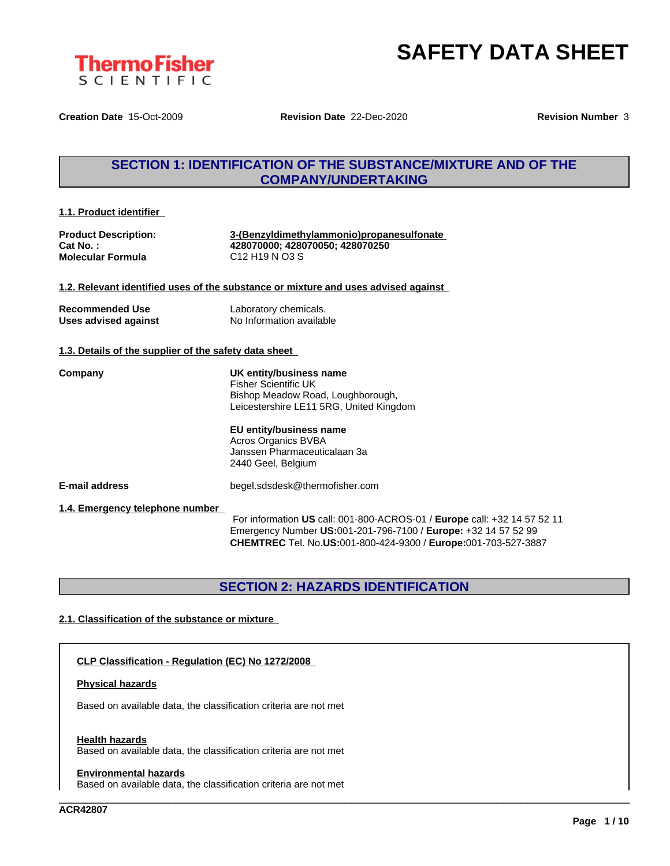

**Creation Date** 15-Oct-2009 **Revision Date** 22-Dec-2020 **Revision Number** 3

### **SECTION 1: IDENTIFICATION OF THE SUBSTANCE/MIXTURE AND OF THE COMPANY/UNDERTAKING**

**1.1. Product identifier**

**Molecular Formula** C12 H19 N O3 S

**Product Description: 3-(Benzyldimethylammonio)propanesulfonate Cat No. : 428070000; 428070050; 428070250**

**1.2. Relevant identified uses of the substance or mixture and uses advised against**

| <b>Recommended Use</b> | Laboratory chemicals.    |
|------------------------|--------------------------|
| Uses advised against   | No Information available |

#### **1.3. Details of the supplier of the safety data sheet**

**Company UK entity/business name** Fisher Scientific UK Bishop Meadow Road, Loughborough, Leicestershire LE11 5RG, United Kingdom

> **EU entity/business name** Acros Organics BVBA Janssen Pharmaceuticalaan 3a 2440 Geel, Belgium

**E-mail address** begel.sdsdesk@thermofisher.com

**1.4. Emergency telephone number**

For information **US** call: 001-800-ACROS-01 / **Europe** call: +32 14 57 52 11 Emergency Number **US:**001-201-796-7100 / **Europe:** +32 14 57 52 99 **CHEMTREC** Tel. No.**US:**001-800-424-9300 / **Europe:**001-703-527-3887

\_\_\_\_\_\_\_\_\_\_\_\_\_\_\_\_\_\_\_\_\_\_\_\_\_\_\_\_\_\_\_\_\_\_\_\_\_\_\_\_\_\_\_\_\_\_\_\_\_\_\_\_\_\_\_\_\_\_\_\_\_\_\_\_\_\_\_\_\_\_\_\_\_\_\_\_\_\_\_\_\_\_\_\_\_\_\_\_\_\_\_\_\_\_

### **SECTION 2: HAZARDS IDENTIFICATION**

#### **2.1. Classification of the substance or mixture**

#### **CLP Classification - Regulation (EC) No 1272/2008**

#### **Physical hazards**

Based on available data, the classification criteria are not met

#### **Health hazards**

Based on available data, the classification criteria are not met

#### **Environmental hazards**

Based on available data, the classification criteria are not met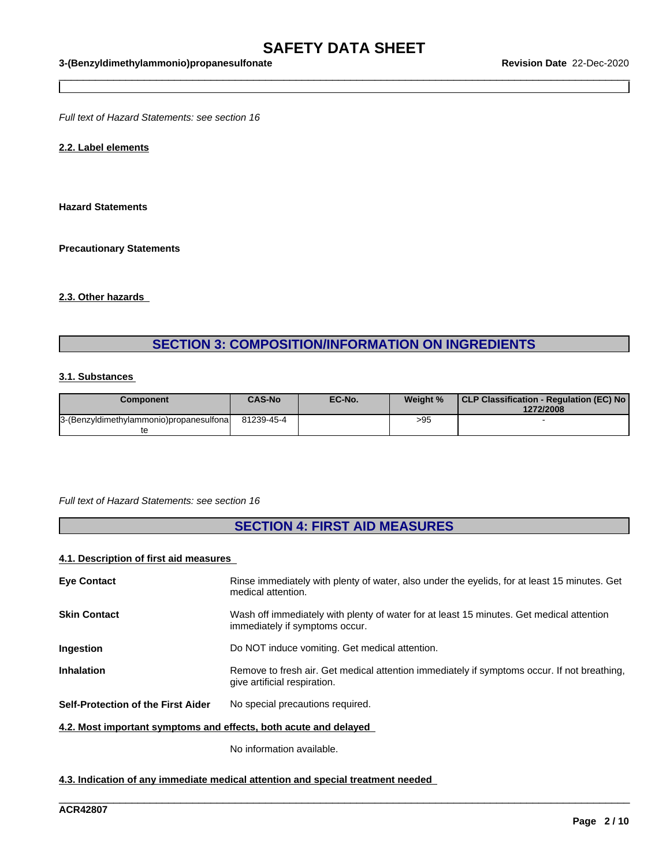$\_$  ,  $\_$  ,  $\_$  ,  $\_$  ,  $\_$  ,  $\_$  ,  $\_$  ,  $\_$  ,  $\_$  ,  $\_$  ,  $\_$  ,  $\_$  ,  $\_$  ,  $\_$  ,  $\_$  ,  $\_$  ,  $\_$  ,  $\_$  ,  $\_$  ,  $\_$  ,  $\_$  ,  $\_$  ,  $\_$  ,  $\_$  ,  $\_$  ,  $\_$  ,  $\_$  ,  $\_$  ,  $\_$  ,  $\_$  ,  $\_$  ,  $\_$  ,  $\_$  ,  $\_$  ,  $\_$  ,  $\_$  ,  $\_$  ,

*Full text of Hazard Statements: see section 16*

#### **2.2. Label elements**

**Hazard Statements**

**Precautionary Statements**

#### **2.3. Other hazards**

### **SECTION 3: COMPOSITION/INFORMATION ON INGREDIENTS**

#### **3.1. Substances**

| Component                               | <b>CAS-No</b> | EC-No. | Weight % | CLP Classification - Regulation (EC) No<br>1272/2008 |
|-----------------------------------------|---------------|--------|----------|------------------------------------------------------|
| 3-(Benzyldimethylammonio)propanesulfona | 81239-45-4    |        | >95      |                                                      |
|                                         |               |        |          |                                                      |

#### *Full text of Hazard Statements: see section 16*

## **SECTION 4: FIRST AID MEASURES**

#### **4.1. Description of first aid measures**

| <b>Eye Contact</b>                                               | Rinse immediately with plenty of water, also under the eyelids, for at least 15 minutes. Get<br>medical attention.          |
|------------------------------------------------------------------|-----------------------------------------------------------------------------------------------------------------------------|
| <b>Skin Contact</b>                                              | Wash off immediately with plenty of water for at least 15 minutes. Get medical attention<br>immediately if symptoms occur.  |
| Ingestion                                                        | Do NOT induce vomiting. Get medical attention.                                                                              |
| <b>Inhalation</b>                                                | Remove to fresh air. Get medical attention immediately if symptoms occur. If not breathing,<br>give artificial respiration. |
| <b>Self-Protection of the First Aider</b>                        | No special precautions required.                                                                                            |
| 4.2. Most important symptoms and effects, both acute and delayed |                                                                                                                             |

\_\_\_\_\_\_\_\_\_\_\_\_\_\_\_\_\_\_\_\_\_\_\_\_\_\_\_\_\_\_\_\_\_\_\_\_\_\_\_\_\_\_\_\_\_\_\_\_\_\_\_\_\_\_\_\_\_\_\_\_\_\_\_\_\_\_\_\_\_\_\_\_\_\_\_\_\_\_\_\_\_\_\_\_\_\_\_\_\_\_\_\_\_\_

No information available.

#### **4.3. Indication of any immediate medical attention and special treatment needed**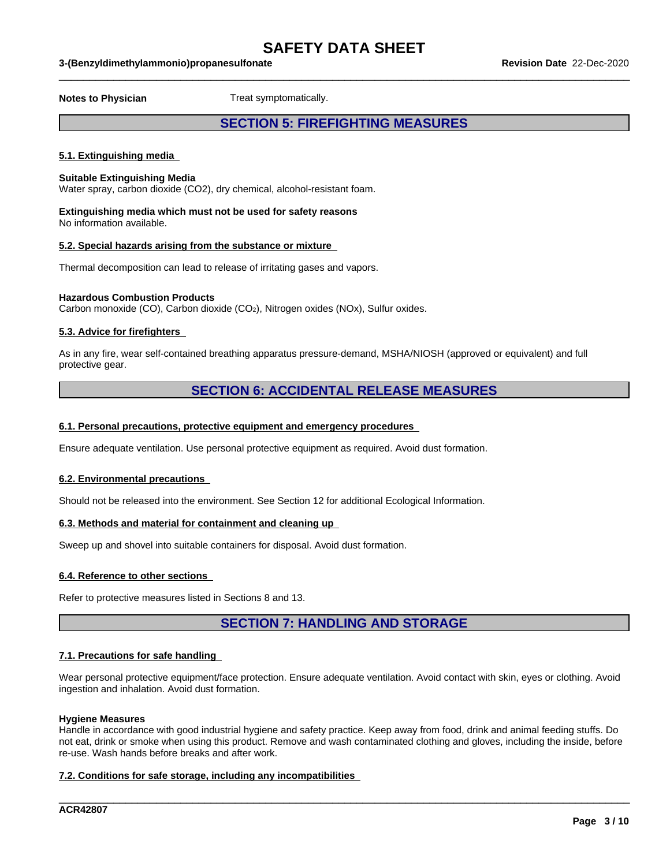$\_$  ,  $\_$  ,  $\_$  ,  $\_$  ,  $\_$  ,  $\_$  ,  $\_$  ,  $\_$  ,  $\_$  ,  $\_$  ,  $\_$  ,  $\_$  ,  $\_$  ,  $\_$  ,  $\_$  ,  $\_$  ,  $\_$  ,  $\_$  ,  $\_$  ,  $\_$  ,  $\_$  ,  $\_$  ,  $\_$  ,  $\_$  ,  $\_$  ,  $\_$  ,  $\_$  ,  $\_$  ,  $\_$  ,  $\_$  ,  $\_$  ,  $\_$  ,  $\_$  ,  $\_$  ,  $\_$  ,  $\_$  ,  $\_$  ,

**Notes to Physician** Treat symptomatically.

### **SECTION 5: FIREFIGHTING MEASURES**

#### **5.1. Extinguishing media**

#### **Suitable Extinguishing Media**

Water spray, carbon dioxide (CO2), dry chemical, alcohol-resistant foam.

#### **Extinguishing media which must not be used for safety reasons** No information available.

#### **5.2. Special hazards arising from the substance or mixture**

Thermal decomposition can lead to release of irritating gases and vapors.

#### **Hazardous Combustion Products**

Carbon monoxide (CO), Carbon dioxide (CO2), Nitrogen oxides (NOx), Sulfur oxides.

#### **5.3. Advice for firefighters**

As in any fire, wear self-contained breathing apparatus pressure-demand, MSHA/NIOSH (approved or equivalent) and full protective gear.

### **SECTION 6: ACCIDENTAL RELEASE MEASURES**

#### **6.1. Personal precautions, protective equipment and emergency procedures**

Ensure adequate ventilation. Use personal protective equipment as required.Avoid dust formation.

#### **6.2. Environmental precautions**

Should not be released into the environment. See Section 12 for additional Ecological Information.

#### **6.3. Methods and material for containment and cleaning up**

Sweep up and shovel into suitable containers for disposal. Avoid dust formation.

#### **6.4. Reference to other sections**

Refer to protective measures listed in Sections 8 and 13.

### **SECTION 7: HANDLING AND STORAGE**

#### **7.1. Precautions for safe handling**

Wear personal protective equipment/face protection. Ensure adequate ventilation. Avoid contact with skin, eyes or clothing. Avoid ingestion and inhalation. Avoid dust formation.

#### **Hygiene Measures**

Handle in accordance with good industrial hygiene and safety practice. Keep away from food, drink and animal feeding stuffs. Do not eat, drink or smoke when using this product. Remove and wash contaminated clothing and gloves, including the inside, before re-use. Wash hands before breaks and after work.

\_\_\_\_\_\_\_\_\_\_\_\_\_\_\_\_\_\_\_\_\_\_\_\_\_\_\_\_\_\_\_\_\_\_\_\_\_\_\_\_\_\_\_\_\_\_\_\_\_\_\_\_\_\_\_\_\_\_\_\_\_\_\_\_\_\_\_\_\_\_\_\_\_\_\_\_\_\_\_\_\_\_\_\_\_\_\_\_\_\_\_\_\_\_

#### **7.2. Conditions for safe storage, including any incompatibilities**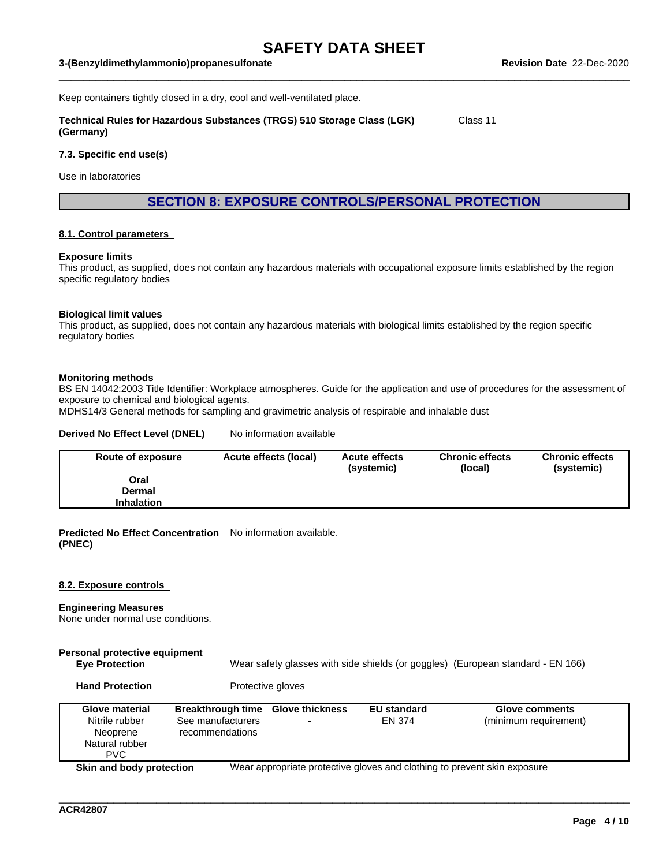$\_$  ,  $\_$  ,  $\_$  ,  $\_$  ,  $\_$  ,  $\_$  ,  $\_$  ,  $\_$  ,  $\_$  ,  $\_$  ,  $\_$  ,  $\_$  ,  $\_$  ,  $\_$  ,  $\_$  ,  $\_$  ,  $\_$  ,  $\_$  ,  $\_$  ,  $\_$  ,  $\_$  ,  $\_$  ,  $\_$  ,  $\_$  ,  $\_$  ,  $\_$  ,  $\_$  ,  $\_$  ,  $\_$  ,  $\_$  ,  $\_$  ,  $\_$  ,  $\_$  ,  $\_$  ,  $\_$  ,  $\_$  ,  $\_$  ,

Keep containers tightly closed in a dry, cool and well-ventilated place.

**Technical Rules for Hazardous Substances (TRGS) 510 Storage Class (LGK) (Germany)** Class 11

#### **7.3. Specific end use(s)**

Use in laboratories

**SECTION 8: EXPOSURE CONTROLS/PERSONAL PROTECTION**

#### **8.1. Control parameters**

#### **Exposure limits**

This product, as supplied, does not contain any hazardous materials with occupational exposure limits established by the region specific regulatory bodies

#### **Biological limit values**

This product, as supplied, does not contain any hazardous materials with biological limits established by the region specific regulatory bodies

#### **Monitoring methods**

BS EN 14042:2003 Title Identifier: Workplace atmospheres. Guide for the application and use of procedures for the assessment of exposure to chemical and biological agents.

MDHS14/3 General methods for sampling and gravimetric analysis of respirable and inhalable dust

#### **Derived No Effect Level (DNEL)** No information available

| Route of exposure | Acute effects (local) | <b>Acute effects</b><br>(systemic) | <b>Chronic effects</b><br>(local) | <b>Chronic effects</b><br>(systemic) |
|-------------------|-----------------------|------------------------------------|-----------------------------------|--------------------------------------|
| Oral              |                       |                                    |                                   |                                      |
| Dermal            |                       |                                    |                                   |                                      |
| <b>Inhalation</b> |                       |                                    |                                   |                                      |

**Predicted No Effect Concentration** No information available. **(PNEC)**

#### **8.2. Exposure controls**

#### **Engineering Measures**

None under normal use conditions.

# **Personal protective equipment**

**Eye Protection** Wear safety glasses with side shields (or goggles) (European standard - EN 166)

Hand Protection **Protective gloves** 

| <b>Glove material</b><br>Nitrile rubber<br>Neoprene<br>Natural rubber<br>PVC. | <b>Breakthrough time</b><br>See manufacturers<br>recommendations | <b>Glove thickness</b><br>$\overline{\phantom{0}}$ | <b>EU standard</b><br><b>EN 374</b> | <b>Glove comments</b><br>(minimum requirement)                           |
|-------------------------------------------------------------------------------|------------------------------------------------------------------|----------------------------------------------------|-------------------------------------|--------------------------------------------------------------------------|
| Skin and body protection                                                      |                                                                  |                                                    |                                     | Wear appropriate protective gloves and clothing to prevent skin exposure |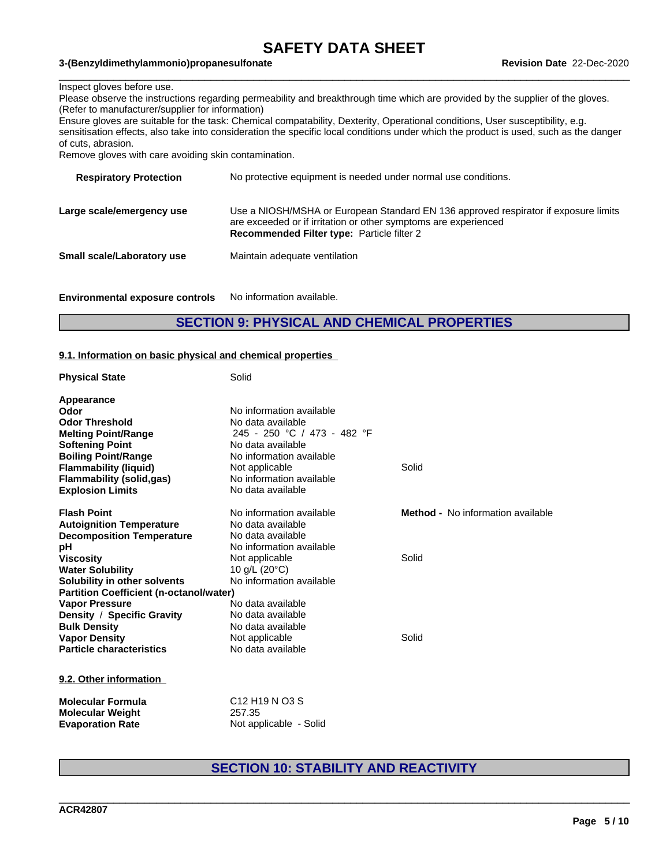$\_$  ,  $\_$  ,  $\_$  ,  $\_$  ,  $\_$  ,  $\_$  ,  $\_$  ,  $\_$  ,  $\_$  ,  $\_$  ,  $\_$  ,  $\_$  ,  $\_$  ,  $\_$  ,  $\_$  ,  $\_$  ,  $\_$  ,  $\_$  ,  $\_$  ,  $\_$  ,  $\_$  ,  $\_$  ,  $\_$  ,  $\_$  ,  $\_$  ,  $\_$  ,  $\_$  ,  $\_$  ,  $\_$  ,  $\_$  ,  $\_$  ,  $\_$  ,  $\_$  ,  $\_$  ,  $\_$  ,  $\_$  ,  $\_$  ,

#### **3-(Benzyldimethylammonio)propanesulfonate Revision Date** 22-Dec-2020

#### Inspect gloves before use.

Please observe the instructions regarding permeability and breakthrough time which are provided by the supplier of the gloves. (Refer to manufacturer/supplier for information)

Ensure gloves are suitable for the task: Chemical compatability, Dexterity, Operational conditions, User susceptibility, e.g. sensitisation effects, also take into consideration the specific local conditions under which the product is used, such as the danger of cuts, abrasion.

Remove gloves with care avoiding skin contamination.

| No protective equipment is needed under normal use conditions.                                                                                                                                              |
|-------------------------------------------------------------------------------------------------------------------------------------------------------------------------------------------------------------|
| Use a NIOSH/MSHA or European Standard EN 136 approved respirator if exposure limits<br>are exceeded or if irritation or other symptoms are experienced<br><b>Recommended Filter type: Particle filter 2</b> |
| Maintain adequate ventilation                                                                                                                                                                               |
|                                                                                                                                                                                                             |

**Environmental exposure controls** No information available.

### **SECTION 9: PHYSICAL AND CHEMICAL PROPERTIES**

#### **9.1. Information on basic physical and chemical properties**

| <b>Physical State</b>                          | Solid                       |                                          |
|------------------------------------------------|-----------------------------|------------------------------------------|
| Appearance                                     |                             |                                          |
| Odor                                           | No information available    |                                          |
| <b>Odor Threshold</b>                          | No data available           |                                          |
| <b>Melting Point/Range</b>                     | 245 - 250 °C / 473 - 482 °F |                                          |
| <b>Softening Point</b>                         | No data available           |                                          |
| <b>Boiling Point/Range</b>                     | No information available    |                                          |
| <b>Flammability (liquid)</b>                   | Not applicable              | Solid                                    |
| <b>Flammability (solid,gas)</b>                | No information available    |                                          |
| <b>Explosion Limits</b>                        | No data available           |                                          |
| <b>Flash Point</b>                             | No information available    | <b>Method -</b> No information available |
| <b>Autoignition Temperature</b>                | No data available           |                                          |
| <b>Decomposition Temperature</b>               | No data available           |                                          |
| рH                                             | No information available    |                                          |
| <b>Viscosity</b>                               | Not applicable              | Solid                                    |
| <b>Water Solubility</b>                        | 10 g/L $(20^{\circ}C)$      |                                          |
| Solubility in other solvents                   | No information available    |                                          |
| <b>Partition Coefficient (n-octanol/water)</b> |                             |                                          |
| <b>Vapor Pressure</b>                          | No data available           |                                          |
| Density / Specific Gravity                     | No data available           |                                          |
| <b>Bulk Density</b>                            | No data available           |                                          |
| <b>Vapor Density</b>                           | Not applicable              | Solid                                    |
| <b>Particle characteristics</b>                | No data available           |                                          |
| 9.2. Other information                         |                             |                                          |
| <b>Molecular Formula</b>                       | C12 H19 N O3 S              |                                          |
| <b>Molecular Weight</b>                        | 257.35                      |                                          |
| <b>Evaporation Rate</b>                        | Not applicable - Solid      |                                          |

### **SECTION 10: STABILITY AND REACTIVITY**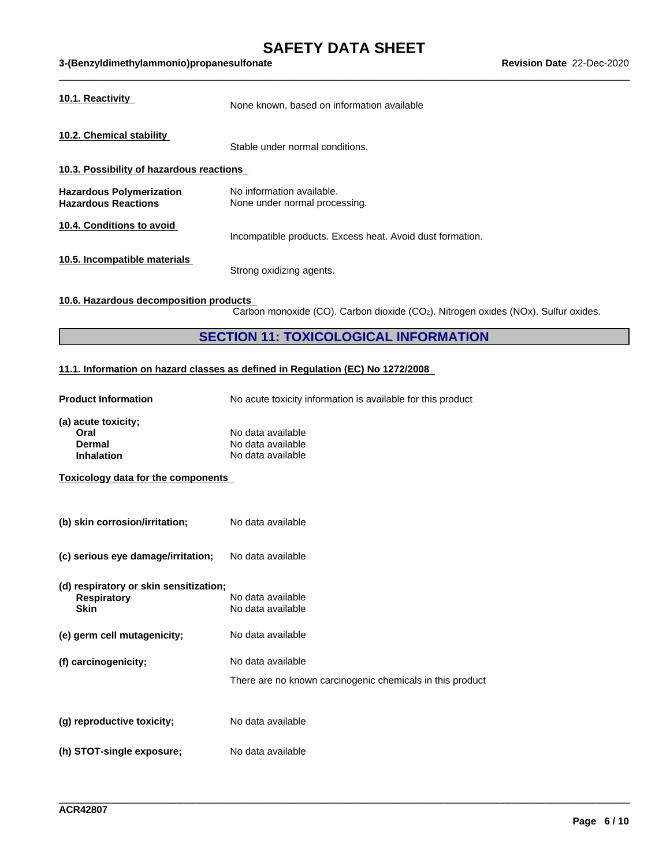### **SAFETY DATA SHEET**<br>ate Revision Date 22-Dec-2020 **3-(Benzyldimethylammonio)propanesulfonate Revision Date** 22-Dec-2020

| 10.1. Reactivity<br>None known, based on information available                                                              |  |
|-----------------------------------------------------------------------------------------------------------------------------|--|
| 10.2. Chemical stability<br>Stable under normal conditions.                                                                 |  |
| 10.3. Possibility of hazardous reactions                                                                                    |  |
| <b>Hazardous Polymerization</b><br>No information available.<br><b>Hazardous Reactions</b><br>None under normal processing. |  |
| 10.4. Conditions to avoid<br>Incompatible products. Excess heat. Avoid dust formation.                                      |  |
| 10.5. Incompatible materials<br>Strong oxidizing agents.                                                                    |  |

### **10.6. Hazardous decomposition products**

 $\overline{\text{Carbon}}$  monoxide (CO). Carbon dioxide (CO<sub>2</sub>). Nitrogen oxides (NOx). Sulfur oxides.

\_\_\_\_\_\_\_\_\_\_\_\_\_\_\_\_\_\_\_\_\_\_\_\_\_\_\_\_\_\_\_\_\_\_\_\_\_\_\_\_\_\_\_\_\_\_\_\_\_\_\_\_\_\_\_\_\_\_\_\_\_\_\_\_\_\_\_\_\_\_\_\_\_\_\_\_\_\_\_\_\_\_\_\_\_\_\_\_\_\_\_\_\_\_

### **SECTION 11: TOXICOLOGICAL INFORMATION**

### **11.1. Information on hazard classes as defined in Regulation (EC) No 1272/2008**

| <b>Product Information</b>                                                  | No acute toxicity information is available for this product                    |
|-----------------------------------------------------------------------------|--------------------------------------------------------------------------------|
| (a) acute toxicity;<br>Oral<br><b>Dermal</b><br><b>Inhalation</b>           | No data available<br>No data available<br>No data available                    |
| <b>Toxicology data for the components</b>                                   |                                                                                |
| (b) skin corrosion/irritation;                                              | No data available                                                              |
| (c) serious eye damage/irritation;                                          | No data available                                                              |
| (d) respiratory or skin sensitization;<br><b>Respiratory</b><br><b>Skin</b> | No data available<br>No data available                                         |
| (e) germ cell mutagenicity;                                                 | No data available                                                              |
| (f) carcinogenicity;                                                        | No data available<br>There are no known carcinogenic chemicals in this product |
| (g) reproductive toxicity;                                                  | No data available                                                              |
| (h) STOT-single exposure;                                                   | No data available                                                              |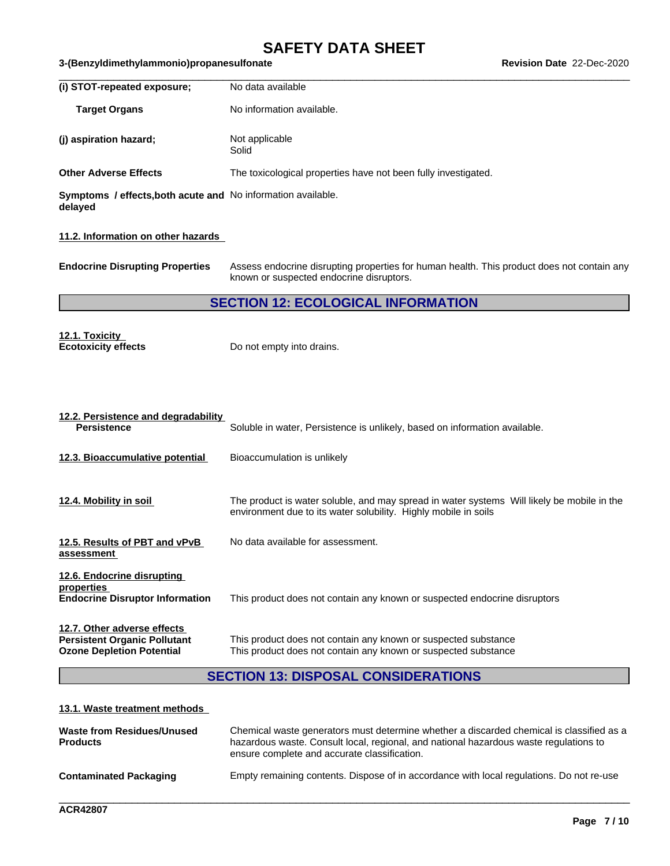# **SAFETY DATA SHEET**<br>ate Revision Date 22-Dec-2020

| 3-(Benzyldimethylammonio)propanesulfonate                               |                                                                                                                                                               | Revision Date 22-Dec-2020 |
|-------------------------------------------------------------------------|---------------------------------------------------------------------------------------------------------------------------------------------------------------|---------------------------|
| (i) STOT-repeated exposure;                                             | No data available                                                                                                                                             |                           |
| <b>Target Organs</b>                                                    | No information available.                                                                                                                                     |                           |
| (j) aspiration hazard;                                                  | Not applicable<br>Solid                                                                                                                                       |                           |
| <b>Other Adverse Effects</b>                                            | The toxicological properties have not been fully investigated.                                                                                                |                           |
| Symptoms / effects, both acute and No information available.<br>delayed |                                                                                                                                                               |                           |
| 11.2. Information on other hazards                                      |                                                                                                                                                               |                           |
| <b>Endocrine Disrupting Properties</b>                                  | Assess endocrine disrupting properties for human health. This product does not contain any<br>known or suspected endocrine disruptors.                        |                           |
|                                                                         | <b>SECTION 12: ECOLOGICAL INFORMATION</b>                                                                                                                     |                           |
| 12.1. Toxicity<br><b>Ecotoxicity effects</b>                            | Do not empty into drains.                                                                                                                                     |                           |
| 12.2. Persistence and degradability<br><b>Persistence</b>               | Soluble in water, Persistence is unlikely, based on information available.                                                                                    |                           |
| 12.3. Bioaccumulative potential                                         | Bioaccumulation is unlikely                                                                                                                                   |                           |
| 12.4. Mobility in soil                                                  | The product is water soluble, and may spread in water systems Will likely be mobile in the<br>environment due to its water solubility. Highly mobile in soils |                           |
| 12.5. Results of PBT and vPvB<br>assessment                             | No data available for assessment.                                                                                                                             |                           |

**12.6. Endocrine disrupting properties**<br>Endocrine Disruptor Information This product does not contain any known or suspected endocrine disruptors **12.7. Other adverse effects**

**Persistent Organic Pollutant** This product does not contain any known or suspected substance<br> **Ozone Depletion Potential** This product does not contain any known or suspected substance This product does not contain any known or suspected substance

## **SECTION 13: DISPOSAL CONSIDERATIONS**

### **13.1. Waste treatment methods**

| Waste from Residues/Unused<br><b>Products</b> | Chemical waste generators must determine whether a discarded chemical is classified as a<br>hazardous waste. Consult local, regional, and national hazardous waste regulations to<br>ensure complete and accurate classification. |
|-----------------------------------------------|-----------------------------------------------------------------------------------------------------------------------------------------------------------------------------------------------------------------------------------|
| <b>Contaminated Packaging</b>                 | Empty remaining contents. Dispose of in accordance with local regulations. Do not re-use                                                                                                                                          |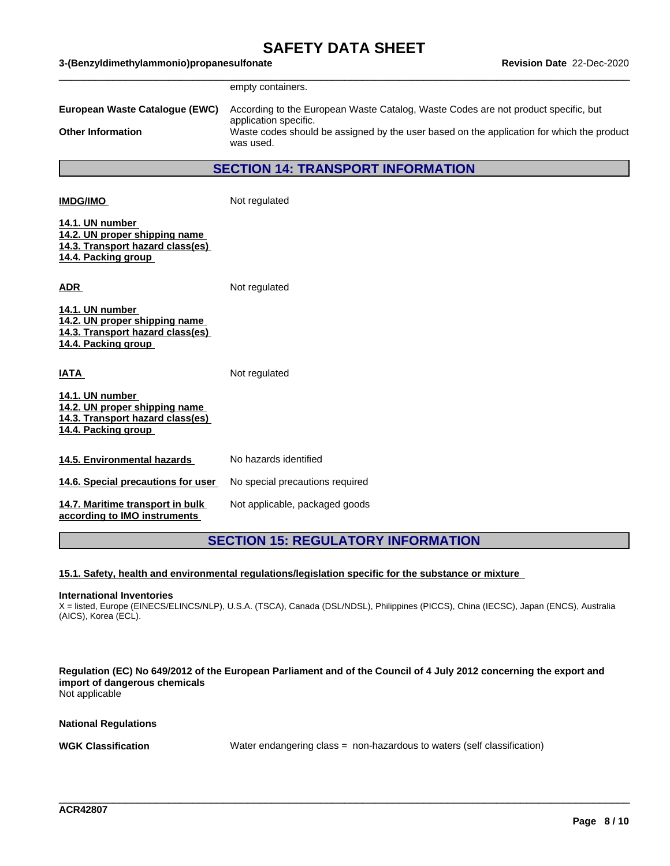|                                                                                                             | empty containers.                                                                                                               |
|-------------------------------------------------------------------------------------------------------------|---------------------------------------------------------------------------------------------------------------------------------|
| European Waste Catalogue (EWC)                                                                              | According to the European Waste Catalog, Waste Codes are not product specific, but                                              |
| <b>Other Information</b>                                                                                    | application specific.<br>Waste codes should be assigned by the user based on the application for which the product<br>was used. |
|                                                                                                             | <b>SECTION 14: TRANSPORT INFORMATION</b>                                                                                        |
| <b>IMDG/IMO</b>                                                                                             | Not regulated                                                                                                                   |
| 14.1. UN number<br>14.2. UN proper shipping name<br>14.3. Transport hazard class(es)<br>14.4. Packing group |                                                                                                                                 |
| <u>ADR_</u>                                                                                                 | Not regulated                                                                                                                   |
| 14.1. UN number<br>14.2. UN proper shipping name<br>14.3. Transport hazard class(es)<br>14.4. Packing group |                                                                                                                                 |
| <b>ATAI</b>                                                                                                 | Not regulated                                                                                                                   |
| 14.1. UN number<br>14.2. UN proper shipping name<br>14.3. Transport hazard class(es)<br>14.4. Packing group |                                                                                                                                 |
| 14.5. Environmental hazards                                                                                 | No hazards identified                                                                                                           |
| 14.6. Special precautions for user                                                                          | No special precautions required                                                                                                 |
| 14.7. Maritime transport in bulk<br>according to IMO instruments                                            | Not applicable, packaged goods                                                                                                  |
|                                                                                                             | <b>SECTION 15: REGULATORY INFORMATION</b>                                                                                       |

### **15.1. Safety, health and environmental regulations/legislation specific for the substance or mixture**

#### **International Inventories**

X = listed, Europe (EINECS/ELINCS/NLP), U.S.A. (TSCA), Canada (DSL/NDSL), Philippines (PICCS), China (IECSC), Japan (ENCS), Australia (AICS), Korea (ECL).

Regulation (EC) No 649/2012 of the European Parliament and of the Council of 4 July 2012 concerning the export and **import of dangerous chemicals** Not applicable

**National Regulations**

**WGK Classification** Water endangering class = non-hazardous to waters (self classification)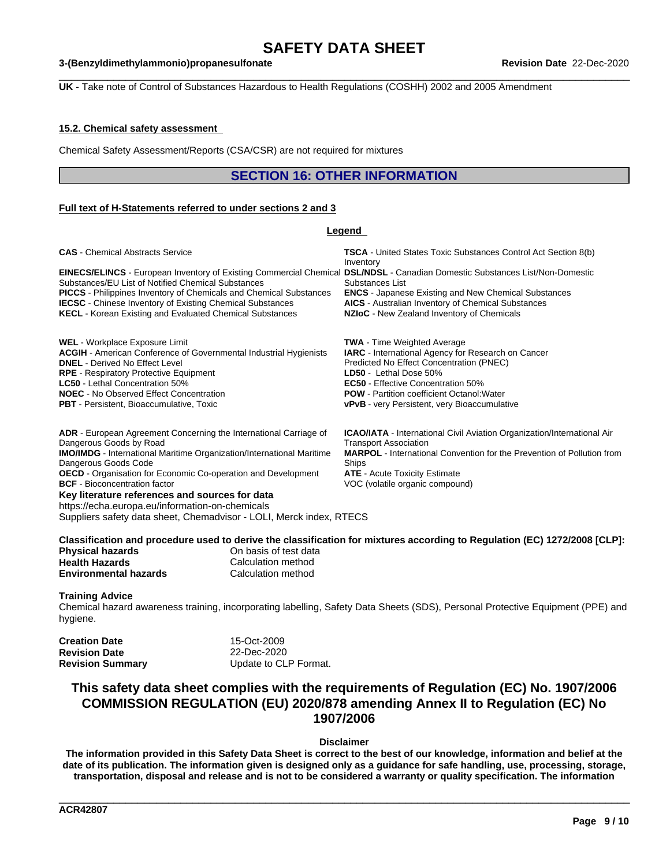$\_$  ,  $\_$  ,  $\_$  ,  $\_$  ,  $\_$  ,  $\_$  ,  $\_$  ,  $\_$  ,  $\_$  ,  $\_$  ,  $\_$  ,  $\_$  ,  $\_$  ,  $\_$  ,  $\_$  ,  $\_$  ,  $\_$  ,  $\_$  ,  $\_$  ,  $\_$  ,  $\_$  ,  $\_$  ,  $\_$  ,  $\_$  ,  $\_$  ,  $\_$  ,  $\_$  ,  $\_$  ,  $\_$  ,  $\_$  ,  $\_$  ,  $\_$  ,  $\_$  ,  $\_$  ,  $\_$  ,  $\_$  ,  $\_$  ,

#### **3-(Benzyldimethylammonio)propanesulfonate Revision Date** 22-Dec-2020

**UK** - Take note of Control of Substances Hazardous to Health Regulations (COSHH) 2002 and 2005 Amendment

#### **15.2. Chemical safety assessment**

Chemical Safety Assessment/Reports (CSA/CSR) are not required for mixtures

### **SECTION 16: OTHER INFORMATION**

#### **Full text of H-Statements referred to undersections 2 and 3**

#### **Legend Key literature references and sources for data** https://echa.europa.eu/information-on-chemicals Suppliers safety data sheet, Chemadvisor - LOLI, Merck index, RTECS Classification and procedure used to derive the classification for mixtures according to Regulation (EC) 1272/2008 [CLP]: **CAS** - Chemical Abstracts Service **TSCA** - United States Toxic Substances Control Act Section 8(b) Inventory **EINECS/ELINCS** - European Inventory of Existing Commercial Chemical **DSL/NDSL** - Canadian Domestic Substances List/Non-Domestic Substances/EU List of Notified Chemical Substances Substances List **PICCS** - Philippines Inventory of Chemicals and Chemical Substances **ENCS** - Japanese Existing and New Chemical Substances **IECSC** - Chinese Inventory of Existing Chemical Substances **AICS** - Australian Inventory of Chemical Substances **KECL** - Korean Existing and Evaluated Chemical Substances **NZIoC** - New Zealand Inventory of Chemicals **WEL** - Workplace Exposure Limit **TWA** - Time Weighted Average **ACGIH** - American Conference of Governmental Industrial Hygienists **IARC** - International Agency for Research on Cancer **DNEL** - Derived No Effect Level<br> **RPE** - Respiratory Protective Equipment<br> **RPE** - Respiratory Protective Equipment<br> **RPE** - Respiratory Protective Equipment **RPE** - Respiratory Protective Equipment **LC50** - Lethal Concentration 50% **EC50** - Effective Concentration 50% **NOEC** - No Observed Effect Concentration **POW** - Partition coefficient Octanol:Water **PBT** - Persistent, Bioaccumulative, Toxic **vPvB** - very Persistent, very Bioaccumulative **ADR** - European Agreement Concerning the International Carriage of Dangerous Goods by Road **ICAO/IATA** - International Civil Aviation Organization/International Air Transport Association **IMO/IMDG** - International Maritime Organization/International Maritime Dangerous Goods Code **MARPOL** - International Convention for the Prevention of Pollution from Ships **OECD** - Organisation for Economic Co-operation and Development **ATE** - Acute Toxicity Estimate **BCF** - Bioconcentration factor **VOC** (volatile organic compound)

**Physical hazards** On basis of test data

| <b>Health Hazards</b>        | Calculation method |
|------------------------------|--------------------|
| <b>Environmental hazards</b> | Calculation method |

#### **Training Advice**

Chemical hazard awareness training, incorporating labelling, Safety Data Sheets (SDS), Personal Protective Equipment (PPE) and hygiene.

| Creation Date    | 15-Oct-2009           |
|------------------|-----------------------|
| Revision Date    | 22-Dec-2020           |
| Revision Summary | Update to CLP Format. |

### **This safety data sheet complies with the requirements of Regulation (EC) No. 1907/2006 COMMISSION REGULATION (EU) 2020/878 amending Annex II to Regulation (EC) No 1907/2006**

#### **Disclaimer**

The information provided in this Safety Data Sheet is correct to the best of our knowledge, information and belief at the date of its publication. The information given is designed only as a guidance for safe handling, use, processing, storage, transportation, disposal and release and is not to be considered a warranty or quality specification. The information